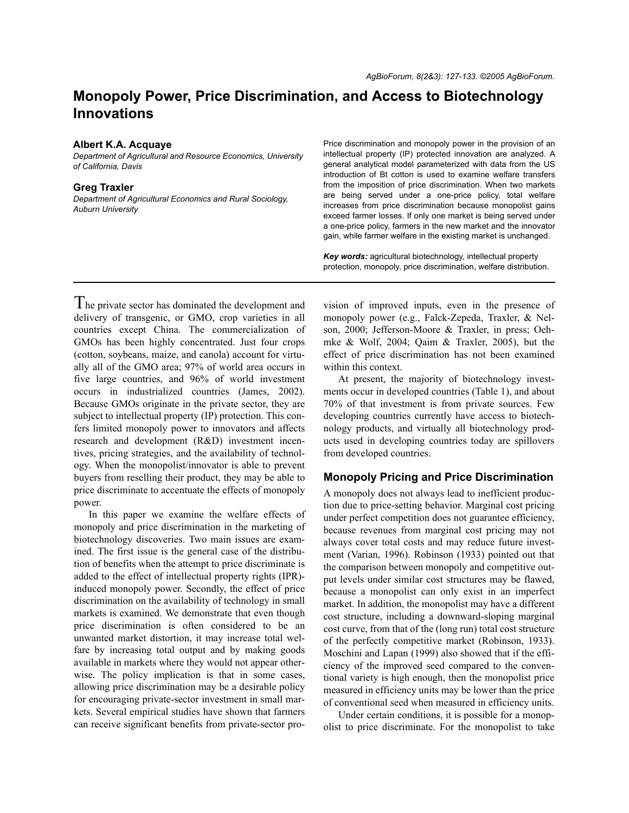# **Monopoly Power, Price Discrimination, and Access to Biotechnology Innovations**

#### **Albert K.A. Acquaye**

*Department of Agricultural and Resource Economics, University of California, Davis*

#### **Greg Traxler**

*Department of Agricultural Economics and Rural Sociology, Auburn University*

#### Price discrimination and monopoly power in the provision of an intellectual property (IP) protected innovation are analyzed. A general analytical model parameterized with data from the US introduction of Bt cotton is used to examine welfare transfers from the imposition of price discrimination. When two markets are being served under a one-price policy, total welfare increases from price discrimination because monopolist gains exceed farmer losses. If only one market is being served under a one-price policy, farmers in the new market and the innovator gain, while farmer welfare in the existing market is unchanged.

*Key words:* agricultural biotechnology, intellectual property protection, monopoly, price discrimination, welfare distribution.

The private sector has dominated the development and delivery of transgenic, or GMO, crop varieties in all countries except China. The commercialization of GMOs has been highly concentrated. Just four crops (cotton, soybeans, maize, and canola) account for virtually all of the GMO area; 97% of world area occurs in five large countries, and 96% of world investment occurs in industrialized countries (James, 2002). Because GMOs originate in the private sector, they are subject to intellectual property (IP) protection. This confers limited monopoly power to innovators and affects research and development (R&D) investment incentives, pricing strategies, and the availability of technology. When the monopolist/innovator is able to prevent buyers from reselling their product, they may be able to price discriminate to accentuate the effects of monopoly power.

In this paper we examine the welfare effects of monopoly and price discrimination in the marketing of biotechnology discoveries. Two main issues are examined. The first issue is the general case of the distribution of benefits when the attempt to price discriminate is added to the effect of intellectual property rights (IPR) induced monopoly power. Secondly, the effect of price discrimination on the availability of technology in small markets is examined. We demonstrate that even though price discrimination is often considered to be an unwanted market distortion, it may increase total welfare by increasing total output and by making goods available in markets where they would not appear otherwise. The policy implication is that in some cases, allowing price discrimination may be a desirable policy for encouraging private-sector investment in small markets. Several empirical studies have shown that farmers can receive significant benefits from private-sector provision of improved inputs, even in the presence of monopoly power (e.g., Falck-Zepeda, Traxler, & Nelson, 2000; Jefferson-Moore & Traxler, in press; Oehmke & Wolf, 2004; Qaim & Traxler, 2005), but the effect of price discrimination has not been examined within this context.

At present, the majority of biotechnology investments occur in developed countries (Table 1), and about 70% of that investment is from private sources. Few developing countries currently have access to biotechnology products, and virtually all biotechnology products used in developing countries today are spillovers from developed countries.

# **Monopoly Pricing and Price Discrimination**

A monopoly does not always lead to inefficient production due to price-setting behavior. Marginal cost pricing under perfect competition does not guarantee efficiency, because revenues from marginal cost pricing may not always cover total costs and may reduce future investment (Varian, 1996). Robinson (1933) pointed out that the comparison between monopoly and competitive output levels under similar cost structures may be flawed, because a monopolist can only exist in an imperfect market. In addition, the monopolist may have a different cost structure, including a downward-sloping marginal cost curve, from that of the (long run) total cost structure of the perfectly competitive market (Robinson, 1933). Moschini and Lapan (1999) also showed that if the efficiency of the improved seed compared to the conventional variety is high enough, then the monopolist price measured in efficiency units may be lower than the price of conventional seed when measured in efficiency units.

Under certain conditions, it is possible for a monopolist to price discriminate. For the monopolist to take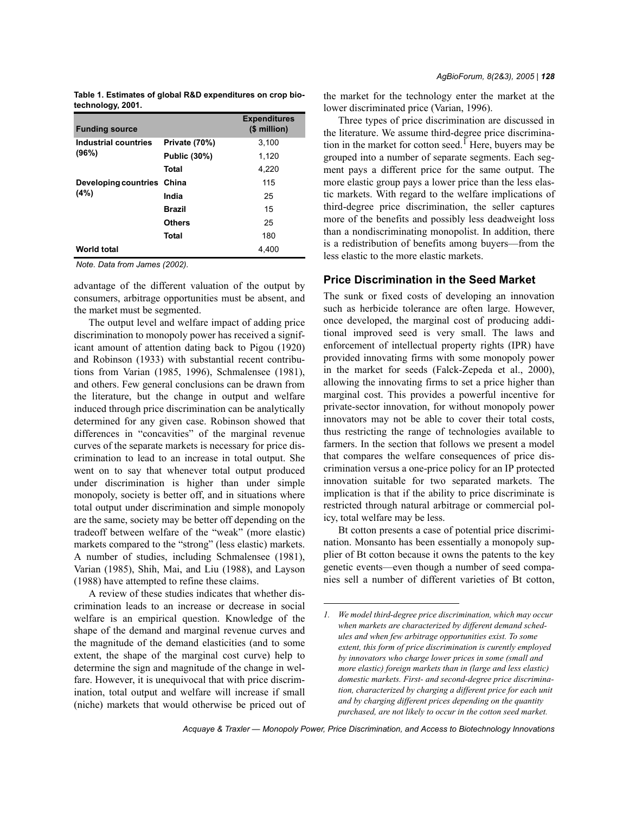|                   |  | Table 1. Estimates of global R&D expenditures on crop bio- |  |
|-------------------|--|------------------------------------------------------------|--|
| technology, 2001. |  |                                                            |  |

| <b>Funding source</b>      |               | <b>Expenditures</b><br>(\$ million) |
|----------------------------|---------------|-------------------------------------|
| Industrial countries       | Private (70%) | 3,100                               |
| (96%)                      | Public (30%)  | 1,120                               |
|                            | Total         | 4,220                               |
| Developing countries China |               | 115                                 |
| (4%)                       | India         | 25                                  |
|                            | <b>Brazil</b> | 15                                  |
|                            | <b>Others</b> | 25                                  |
|                            | Total         | 180                                 |
| <b>World total</b>         |               | 4,400                               |

*Note. Data from James (2002).*

advantage of the different valuation of the output by consumers, arbitrage opportunities must be absent, and the market must be segmented.

The output level and welfare impact of adding price discrimination to monopoly power has received a significant amount of attention dating back to Pigou (1920) and Robinson (1933) with substantial recent contributions from Varian (1985, 1996), Schmalensee (1981), and others. Few general conclusions can be drawn from the literature, but the change in output and welfare induced through price discrimination can be analytically determined for any given case. Robinson showed that differences in "concavities" of the marginal revenue curves of the separate markets is necessary for price discrimination to lead to an increase in total output. She went on to say that whenever total output produced under discrimination is higher than under simple monopoly, society is better off, and in situations where total output under discrimination and simple monopoly are the same, society may be better off depending on the tradeoff between welfare of the "weak" (more elastic) markets compared to the "strong" (less elastic) markets. A number of studies, including Schmalensee (1981), Varian (1985), Shih, Mai, and Liu (1988), and Layson (1988) have attempted to refine these claims.

A review of these studies indicates that whether discrimination leads to an increase or decrease in social welfare is an empirical question. Knowledge of the shape of the demand and marginal revenue curves and the magnitude of the demand elasticities (and to some extent, the shape of the marginal cost curve) help to determine the sign and magnitude of the change in welfare. However, it is unequivocal that with price discrimination, total output and welfare will increase if small (niche) markets that would otherwise be priced out of the market for the technology enter the market at the lower discriminated price (Varian, 1996).

Three types of price discrimination are discussed in the literature. We assume third-degree price discrimination in the market for cotton seed. Here, buyers may be grouped into a number of separate segments. Each segment pays a different price for the same output. The more elastic group pays a lower price than the less elastic markets. With regard to the welfare implications of third-degree price discrimination, the seller captures more of the benefits and possibly less deadweight loss than a nondiscriminating monopolist. In addition, there is a redistribution of benefits among buyers—from the less elastic to the more elastic markets.

## **Price Discrimination in the Seed Market**

The sunk or fixed costs of developing an innovation such as herbicide tolerance are often large. However, once developed, the marginal cost of producing additional improved seed is very small. The laws and enforcement of intellectual property rights (IPR) have provided innovating firms with some monopoly power in the market for seeds (Falck-Zepeda et al., 2000), allowing the innovating firms to set a price higher than marginal cost. This provides a powerful incentive for private-sector innovation, for without monopoly power innovators may not be able to cover their total costs, thus restricting the range of technologies available to farmers. In the section that follows we present a model that compares the welfare consequences of price discrimination versus a one-price policy for an IP protected innovation suitable for two separated markets. The implication is that if the ability to price discriminate is restricted through natural arbitrage or commercial policy, total welfare may be less.

Bt cotton presents a case of potential price discrimination. Monsanto has been essentially a monopoly supplier of Bt cotton because it owns the patents to the key genetic events—even though a number of seed companies sell a number of different varieties of Bt cotton,

*Acquaye & Traxler — Monopoly Power, Price Discrimination, and Access to Biotechnology Innovations*

*<sup>1.</sup> We model third-degree price discrimination, which may occur when markets are characterized by different demand schedules and when few arbitrage opportunities exist. To some extent, this form of price discrimination is curently employed by innovators who charge lower prices in some (small and more elastic) foreign markets than in (large and less elastic) domestic markets. First- and second-degree price discrimination, characterized by charging a different price for each unit and by charging different prices depending on the quantity purchased, are not likely to occur in the cotton seed market.*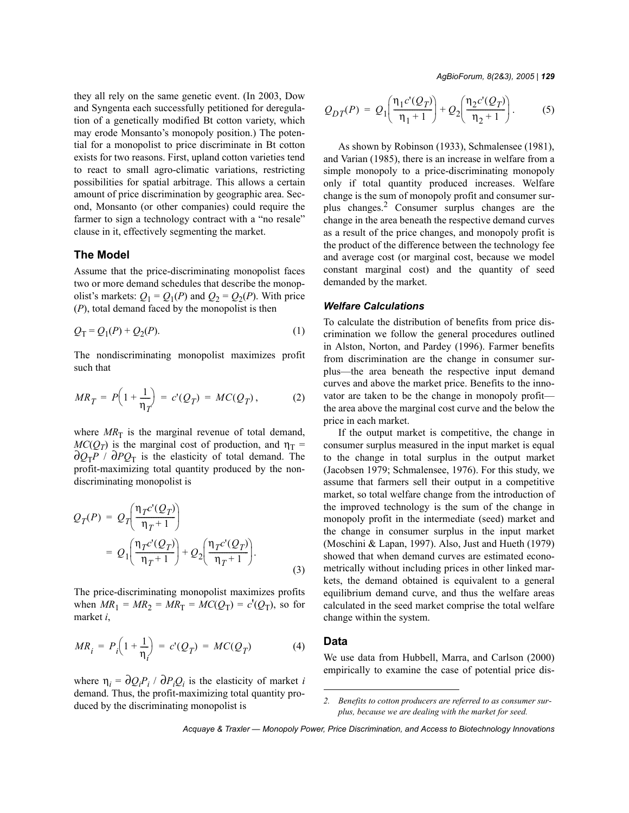they all rely on the same genetic event. (In 2003, Dow and Syngenta each successfully petitioned for deregulation of a genetically modified Bt cotton variety, which may erode Monsanto's monopoly position.) The potential for a monopolist to price discriminate in Bt cotton exists for two reasons. First, upland cotton varieties tend to react to small agro-climatic variations, restricting possibilities for spatial arbitrage. This allows a certain amount of price discrimination by geographic area. Second, Monsanto (or other companies) could require the farmer to sign a technology contract with a "no resale" clause in it, effectively segmenting the market.

### **The Model**

Assume that the price-discriminating monopolist faces two or more demand schedules that describe the monopolist's markets:  $Q_1 = Q_1(P)$  and  $Q_2 = Q_2(P)$ . With price (*P*), total demand faced by the monopolist is then

$$
Q_{\rm T} = Q_1(P) + Q_2(P). \tag{1}
$$

The nondiscriminating monopolist maximizes profit such that

$$
MR_T = P\Big(1 + \frac{1}{\eta_T}\Big) = c'(Q_T) = MC(Q_T), \tag{2}
$$

where  $MR<sub>T</sub>$  is the marginal revenue of total demand,  $MC(Q_T)$  is the marginal cost of production, and  $\eta_T =$  $\partial Q_T P$  /  $\partial P Q_T$  is the elasticity of total demand. The profit-maximizing total quantity produced by the nondiscriminating monopolist is

$$
Q_T(P) = Q_T \left( \frac{\eta_T c'(Q_T)}{\eta_T + 1} \right)
$$
  
=  $Q_1 \left( \frac{\eta_T c'(Q_T)}{\eta_T + 1} \right) + Q_2 \left( \frac{\eta_T c'(Q_T)}{\eta_T + 1} \right).$  (3)

The price-discriminating monopolist maximizes profits when  $MR_1 = MR_2 = MR_T = MC(Q_T) = c'(Q_T)$ , so for market *i*,

$$
MR_i = P_i \left( 1 + \frac{1}{\eta_i} \right) = c'(Q_T) = MC(Q_T)
$$
 (4)

where  $\eta_i = \partial Q_i P_i / \partial P_i Q_i$  is the elasticity of market *i* demand. Thus, the profit-maximizing total quantity produced by the discriminating monopolist is

*AgBioForum, 8(2&3), 2005 | 129*

$$
Q_{DT}(P) = Q_1 \left( \frac{\eta_1 c'(Q_T)}{\eta_1 + 1} \right) + Q_2 \left( \frac{\eta_2 c'(Q_T)}{\eta_2 + 1} \right). \tag{5}
$$

As shown by Robinson (1933), Schmalensee (1981), and Varian (1985), there is an increase in welfare from a simple monopoly to a price-discriminating monopoly only if total quantity produced increases. Welfare change is the sum of monopoly profit and consumer surplus changes.2 Consumer surplus changes are the change in the area beneath the respective demand curves as a result of the price changes, and monopoly profit is the product of the difference between the technology fee and average cost (or marginal cost, because we model constant marginal cost) and the quantity of seed demanded by the market.

#### *Welfare Calculations*

To calculate the distribution of benefits from price discrimination we follow the general procedures outlined in Alston, Norton, and Pardey (1996). Farmer benefits from discrimination are the change in consumer surplus—the area beneath the respective input demand curves and above the market price. Benefits to the innovator are taken to be the change in monopoly profit the area above the marginal cost curve and the below the price in each market.

If the output market is competitive, the change in consumer surplus measured in the input market is equal to the change in total surplus in the output market (Jacobsen 1979; Schmalensee, 1976). For this study, we assume that farmers sell their output in a competitive market, so total welfare change from the introduction of the improved technology is the sum of the change in monopoly profit in the intermediate (seed) market and the change in consumer surplus in the input market (Moschini & Lapan, 1997). Also, Just and Hueth (1979) showed that when demand curves are estimated econometrically without including prices in other linked markets, the demand obtained is equivalent to a general equilibrium demand curve, and thus the welfare areas calculated in the seed market comprise the total welfare change within the system.

#### **Data**

We use data from Hubbell, Marra, and Carlson (2000) empirically to examine the case of potential price dis-

*<sup>2.</sup> Benefits to cotton producers are referred to as consumer surplus, because we are dealing with the market for seed.*

*Acquaye & Traxler — Monopoly Power, Price Discrimination, and Access to Biotechnology Innovations*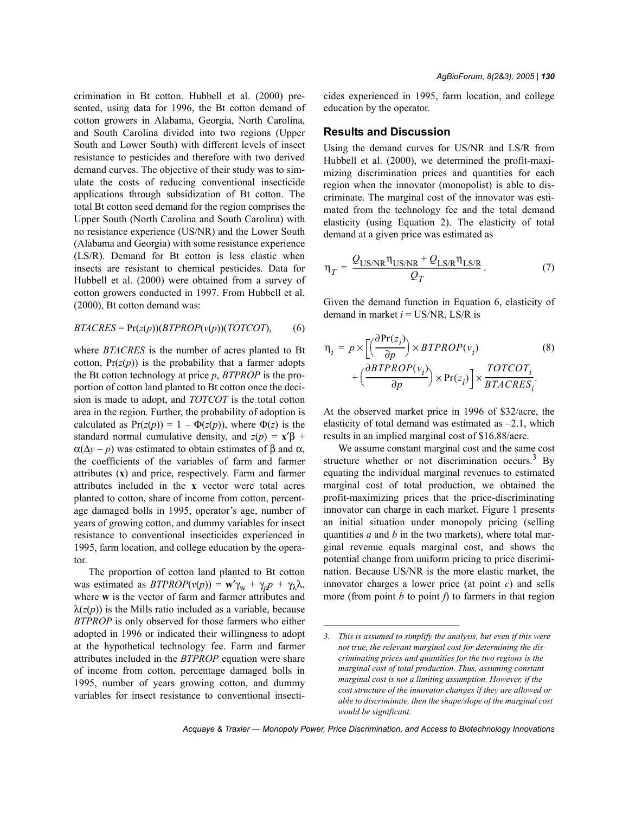crimination in Bt cotton. Hubbell et al. (2000) presented, using data for 1996, the Bt cotton demand of cotton growers in Alabama, Georgia, North Carolina, and South Carolina divided into two regions (Upper South and Lower South) with different levels of insect resistance to pesticides and therefore with two derived demand curves. The objective of their study was to simulate the costs of reducing conventional insecticide applications through subsidization of Bt cotton. The total Bt cotton seed demand for the region comprises the Upper South (North Carolina and South Carolina) with no resistance experience (US/NR) and the Lower South (Alabama and Georgia) with some resistance experience (LS/R). Demand for Bt cotton is less elastic when insects are resistant to chemical pesticides. Data for Hubbell et al. (2000) were obtained from a survey of cotton growers conducted in 1997. From Hubbell et al. (2000), Bt cotton demand was:

$$
BTACRES = \Pr(z(p))(BTPROP(v(p))(TOTCOT), \qquad (6)
$$

where *BTACRES* is the number of acres planted to Bt cotton,  $Pr(z(p))$  is the probability that a farmer adopts the Bt cotton technology at price *p*, *BTPROP* is the proportion of cotton land planted to Bt cotton once the decision is made to adopt, and *TOTCOT* is the total cotton area in the region. Further, the probability of adoption is calculated as  $Pr(z(p)) = 1 - \Phi(z(p))$ , where  $\Phi(z)$  is the standard normal cumulative density, and  $z(p) = x<sup>2</sup> \beta$  +  $\alpha(\Delta y - p)$  was estimated to obtain estimates of  $\beta$  and  $\alpha$ , the coefficients of the variables of farm and farmer attributes (**x**) and price, respectively. Farm and farmer attributes included in the **x** vector were total acres planted to cotton, share of income from cotton, percentage damaged bolls in 1995, operator's age, number of years of growing cotton, and dummy variables for insect resistance to conventional insecticides experienced in 1995, farm location, and college education by the operator.

The proportion of cotton land planted to Bt cotton was estimated as  $BTPROP(v(p)) = \mathbf{w}'\gamma_w + \gamma_p p + \gamma_\lambda \lambda$ , where **w** is the vector of farm and farmer attributes and  $\lambda(z(p))$  is the Mills ratio included as a variable, because *BTPROP* is only observed for those farmers who either adopted in 1996 or indicated their willingness to adopt at the hypothetical technology fee. Farm and farmer attributes included in the *BTPROP* equation were share of income from cotton, percentage damaged bolls in 1995, number of years growing cotton, and dummy variables for insect resistance to conventional insecticides experienced in 1995, farm location, and college education by the operator.

#### **Results and Discussion**

Using the demand curves for US/NR and LS/R from Hubbell et al. (2000), we determined the profit-maximizing discrimination prices and quantities for each region when the innovator (monopolist) is able to discriminate. The marginal cost of the innovator was estimated from the technology fee and the total demand elasticity (using Equation 2). The elasticity of total demand at a given price was estimated as

$$
\eta_T = \frac{Q_{\text{US/NR}} \eta_{\text{US/NR}} + Q_{\text{LS/R}} \eta_{\text{LS/R}}}{Q_T}.
$$
 (7)

Given the demand function in Equation 6, elasticity of demand in market  $i = US/NR$ , LS/R is

$$
\eta_{i} = p \times \left[ \left( \frac{\partial Pr(z_{i})}{\partial p} \right) \times BTPROP(v_{i}) + \left( \frac{\partial BTPROP(v_{i})}{\partial p} \right) \times Pr(z_{i}) \right] \times \frac{TOTCOT_{i}}{BTACRES_{i}}.
$$
\n(8)

At the observed market price in 1996 of \$32/acre, the elasticity of total demand was estimated as  $-2.1$ , which results in an implied marginal cost of \$16.88/acre.

We assume constant marginal cost and the same cost structure whether or not discrimination occurs.<sup>3</sup> By equating the individual marginal revenues to estimated marginal cost of total production, we obtained the profit-maximizing prices that the price-discriminating innovator can charge in each market. Figure 1 presents an initial situation under monopoly pricing (selling quantities *a* and *b* in the two markets), where total marginal revenue equals marginal cost, and shows the potential change from uniform pricing to price discrimination. Because US/NR is the more elastic market, the innovator charges a lower price (at point *c*) and sells more (from point *b* to point *f*) to farmers in that region

*Acquaye & Traxler — Monopoly Power, Price Discrimination, and Access to Biotechnology Innovations*

*<sup>3.</sup> This is assumed to simplify the analysis, but even if this were not true, the relevant marginal cost for determining the discriminating prices and quantities for the two regions is the marginal cost of total production. Thus, assuming constant marginal cost is not a limiting assumption. However, if the cost structure of the innovator changes if they are allowed or able to discriminate, then the shape/slope of the marginal cost would be significant.*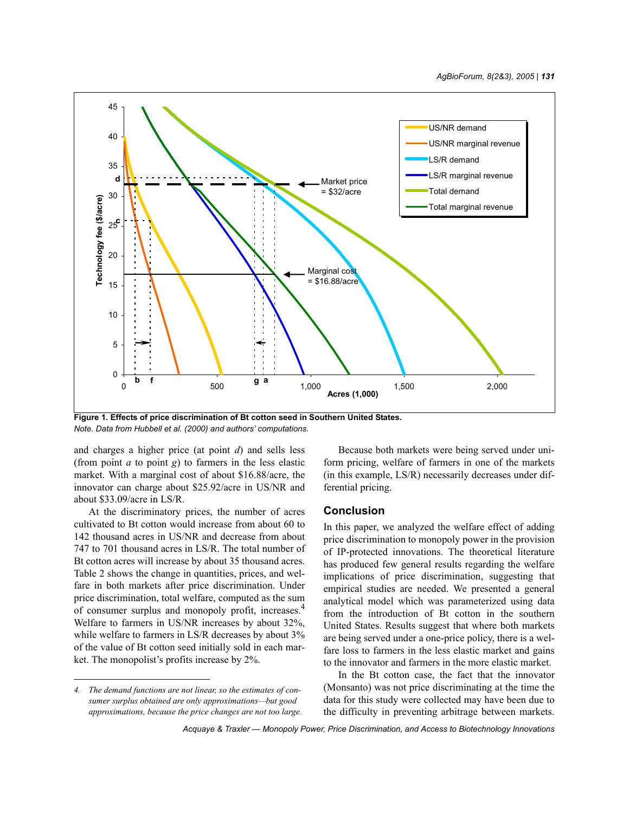

**Figure 1. Effects of price discrimination of Bt cotton seed in Southern United States.** *Note. Data from Hubbell et al. (2000) and authors' computations.*

and charges a higher price (at point *d*) and sells less (from point *a* to point *g*) to farmers in the less elastic market. With a marginal cost of about \$16.88/acre, the innovator can charge about \$25.92/acre in US/NR and about \$33.09/acre in LS/R.

At the discriminatory prices, the number of acres cultivated to Bt cotton would increase from about 60 to 142 thousand acres in US/NR and decrease from about 747 to 701 thousand acres in LS/R. The total number of Bt cotton acres will increase by about 35 thousand acres. Table 2 shows the change in quantities, prices, and welfare in both markets after price discrimination. Under price discrimination, total welfare, computed as the sum of consumer surplus and monopoly profit, increases.4 Welfare to farmers in US/NR increases by about 32%, while welfare to farmers in LS/R decreases by about 3% of the value of Bt cotton seed initially sold in each market. The monopolist's profits increase by 2%.

Because both markets were being served under uniform pricing, welfare of farmers in one of the markets (in this example, LS/R) necessarily decreases under differential pricing.

## **Conclusion**

In this paper, we analyzed the welfare effect of adding price discrimination to monopoly power in the provision of IP-protected innovations. The theoretical literature has produced few general results regarding the welfare implications of price discrimination, suggesting that empirical studies are needed. We presented a general analytical model which was parameterized using data from the introduction of Bt cotton in the southern United States. Results suggest that where both markets are being served under a one-price policy, there is a welfare loss to farmers in the less elastic market and gains to the innovator and farmers in the more elastic market.

In the Bt cotton case, the fact that the innovator (Monsanto) was not price discriminating at the time the data for this study were collected may have been due to the difficulty in preventing arbitrage between markets.

*<sup>4.</sup> The demand functions are not linear, so the estimates of consumer surplus obtained are only approximations—but good approximations, because the price changes are not too large.*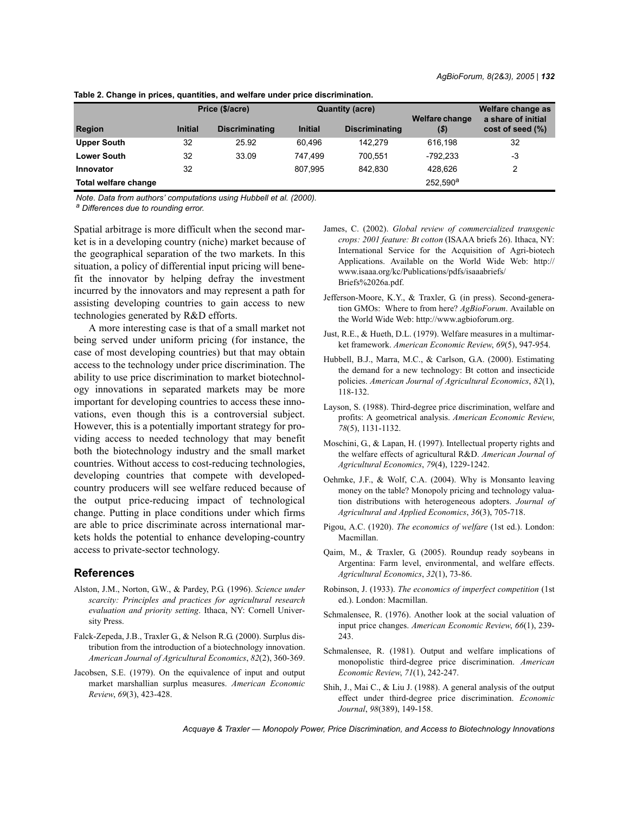|                      | Price (\$/acre) |                       | <b>Quantity (acre)</b> |                       | <b>Welfare change</b> | Welfare change as<br>a share of initial |
|----------------------|-----------------|-----------------------|------------------------|-----------------------|-----------------------|-----------------------------------------|
| <b>Region</b>        | <b>Initial</b>  | <b>Discriminating</b> | <b>Initial</b>         | <b>Discriminating</b> | $(\boldsymbol{\$})$   | cost of seed (%)                        |
| <b>Upper South</b>   | 32              | 25.92                 | 60.496                 | 142.279               | 616.198               | 32                                      |
| <b>Lower South</b>   | 32              | 33.09                 | 747.499                | 700.551               | $-792,233$            | -3                                      |
| Innovator            | 32              |                       | 807.995                | 842.830               | 428.626               | 2                                       |
| Total welfare change |                 |                       |                        |                       | 252.590 <sup>a</sup>  |                                         |

**Table 2. Change in prices, quantities, and welfare under price discrimination.**

*Note. Data from authors' computations using Hubbell et al. (2000).*

*a Differences due to rounding error.*

Spatial arbitrage is more difficult when the second market is in a developing country (niche) market because of the geographical separation of the two markets. In this situation, a policy of differential input pricing will benefit the innovator by helping defray the investment incurred by the innovators and may represent a path for assisting developing countries to gain access to new technologies generated by R&D efforts.

A more interesting case is that of a small market not being served under uniform pricing (for instance, the case of most developing countries) but that may obtain access to the technology under price discrimination. The ability to use price discrimination to market biotechnology innovations in separated markets may be more important for developing countries to access these innovations, even though this is a controversial subject. However, this is a potentially important strategy for providing access to needed technology that may benefit both the biotechnology industry and the small market countries. Without access to cost-reducing technologies, developing countries that compete with developedcountry producers will see welfare reduced because of the output price-reducing impact of technological change. Putting in place conditions under which firms are able to price discriminate across international markets holds the potential to enhance developing-country access to private-sector technology.

#### **References**

- Alston, J.M., Norton, G.W., & Pardey, P.G. (1996). *Science under scarcity: Principles and practices for agricultural research evaluation and priority setting*. Ithaca, NY: Cornell University Press.
- Falck-Zepeda, J.B., Traxler G., & Nelson R.G. (2000). Surplus distribution from the introduction of a biotechnology innovation. *American Journal of Agricultural Economics*, *82*(2), 360-369.
- Jacobsen, S.E. (1979). On the equivalence of input and output market marshallian surplus measures. *American Economic Review*, *69*(3), 423-428.
- James, C. (2002). *Global review of commercialized transgenic crops: 2001 feature: Bt cotton* (ISAAA briefs 26). Ithaca, NY: International Service for the Acquisition of Agri-biotech Applications. Available on the World Wide Web: http:// www.isaaa.org/kc/Publications/pdfs/isaaabriefs/ Briefs%2026a.pdf.
- Jefferson-Moore, K.Y., & Traxler, G. (in press). Second-generation GMOs: Where to from here? *AgBioForum*. Available on the World Wide Web: http://www.agbioforum.org.
- Just, R.E., & Hueth, D.L. (1979). Welfare measures in a multimarket framework. *American Economic Review*, *69*(5), 947-954.
- Hubbell, B.J., Marra, M.C., & Carlson, G.A. (2000). Estimating the demand for a new technology: Bt cotton and insecticide policies. *American Journal of Agricultural Economics*, *82*(1), 118-132.
- Layson, S. (1988). Third-degree price discrimination, welfare and profits: A geometrical analysis. *American Economic Review*, *78*(5), 1131-1132.
- Moschini, G., & Lapan, H. (1997). Intellectual property rights and the welfare effects of agricultural R&D. *American Journal of Agricultural Economics*, *79*(4), 1229-1242.
- Oehmke, J.F., & Wolf, C.A. (2004). Why is Monsanto leaving money on the table? Monopoly pricing and technology valuation distributions with heterogeneous adopters. *Journal of Agricultural and Applied Economics*, *36*(3), 705-718.
- Pigou, A.C. (1920). *The economics of welfare* (1st ed.). London: Macmillan.
- Qaim, M., & Traxler, G. (2005). Roundup ready soybeans in Argentina: Farm level, environmental, and welfare effects. *Agricultural Economics*, *32*(1), 73-86.
- Robinson, J. (1933). *The economics of imperfect competition* (1st ed.). London: Macmillan.
- Schmalensee, R. (1976). Another look at the social valuation of input price changes. *American Economic Review*, *66*(1), 239- 243.
- Schmalensee, R. (1981). Output and welfare implications of monopolistic third-degree price discrimination. *American Economic Review*, *71*(1), 242-247.
- Shih, J., Mai C., & Liu J. (1988). A general analysis of the output effect under third-degree price discrimination. *Economic Journal*, *98*(389), 149-158.

*Acquaye & Traxler — Monopoly Power, Price Discrimination, and Access to Biotechnology Innovations*